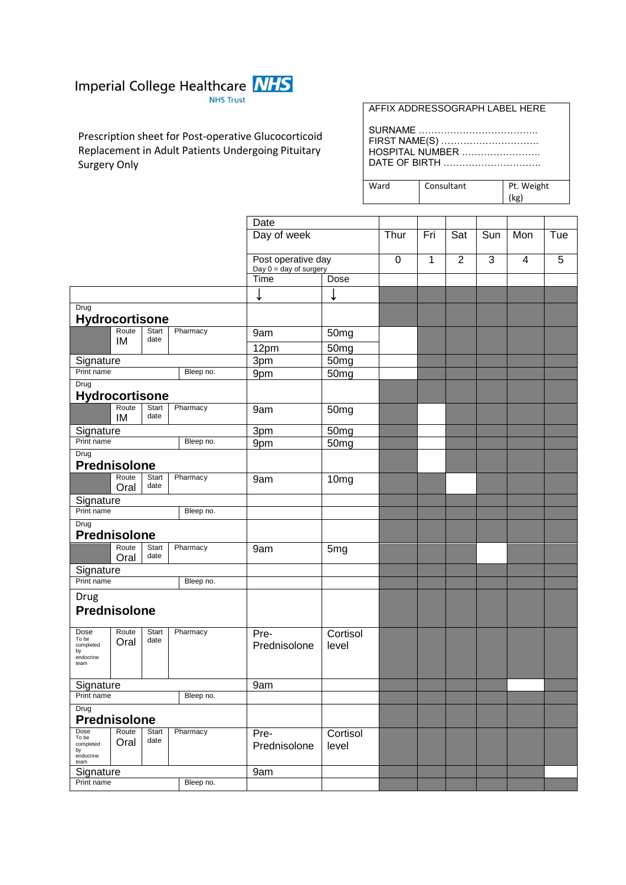

Prescription sheet for Post-operative Glucocorticoid Replacement in Adult Patients Undergoing Pituitary Surgery Only

| AFFIX ADDRESSOGRAPH LABEL HERE |
|--------------------------------|
|--------------------------------|

SURNAME ……………………………….. FIRST NAME(S) …………………………. HOSPITAL NUMBER ……………………. DATE OF BIRTH ………………………….

Ward Consultant

| Pt. Weight |  |
|------------|--|
| (kg)       |  |

|                                                                        |                          |           | Date                 |                   |             |              |                |              |     |   |
|------------------------------------------------------------------------|--------------------------|-----------|----------------------|-------------------|-------------|--------------|----------------|--------------|-----|---|
|                                                                        |                          |           | Day of week          | Thur              | Fri         | Sat          | Sun            | Mon          | Tue |   |
|                                                                        |                          |           | Post operative day   |                   |             | $\mathbf{1}$ | $\overline{2}$ | $\mathbf{3}$ | 4   | 5 |
|                                                                        | Day $0 = day$ of surgery |           |                      |                   | $\mathbf 0$ |              |                |              |     |   |
|                                                                        |                          |           | Time                 | Dose              |             |              |                |              |     |   |
|                                                                        |                          |           | ↓                    | ↓                 |             |              |                |              |     |   |
| Drug<br><b>Hydrocortisone</b>                                          |                          |           |                      |                   |             |              |                |              |     |   |
| Route                                                                  | Start<br>date            | Pharmacy  | 9am                  | 50 <sub>mg</sub>  |             |              |                |              |     |   |
| IM                                                                     |                          |           | 12pm                 | 50mg              |             |              |                |              |     |   |
| Signature                                                              |                          |           | 3pm                  | 50mg              |             |              |                |              |     |   |
| Print name<br>Bleep no.                                                |                          |           | 9pm                  | 50mg              |             |              |                |              |     |   |
| Drug<br>Hydrocortisone                                                 |                          |           |                      |                   |             |              |                |              |     |   |
| Route<br>IM                                                            | Start<br>date            | Pharmacy  | 9am                  | 50mg              |             |              |                |              |     |   |
| Signature                                                              |                          |           | 3 <sub>pm</sub>      | 50 <sub>mg</sub>  |             |              |                |              |     |   |
| Print name                                                             |                          | Bleep no. | 9pm                  | 50mg              |             |              |                |              |     |   |
| Drug<br>Prednisolone                                                   |                          |           |                      |                   |             |              |                |              |     |   |
| Route<br>Oral                                                          | Start<br>date            | Pharmacy  | 9am                  | 10mg              |             |              |                |              |     |   |
| Signature                                                              |                          |           |                      |                   |             |              |                |              |     |   |
| Print name<br>Bleep no.                                                |                          |           |                      |                   |             |              |                |              |     |   |
| Drug<br><b>Prednisolone</b>                                            |                          |           |                      |                   |             |              |                |              |     |   |
| Route<br>Oral                                                          | Start<br>date            | Pharmacy  | 9am                  | 5mg               |             |              |                |              |     |   |
| Signature                                                              |                          |           |                      |                   |             |              |                |              |     |   |
| Print name<br>Bleep no.                                                |                          |           |                      |                   |             |              |                |              |     |   |
| Drug                                                                   |                          |           |                      |                   |             |              |                |              |     |   |
| <b>Prednisolone</b>                                                    |                          |           |                      |                   |             |              |                |              |     |   |
| Route<br>Dose<br>To be<br>Oral<br>completed<br>by<br>endocrine<br>team | Start<br>date            | Pharmacy  | Pre-<br>Prednisolone | Cortisol<br>level |             |              |                |              |     |   |
| Signature                                                              |                          |           | 9am                  |                   |             |              |                |              |     |   |
| Bleep no.<br>Print name                                                |                          |           |                      |                   |             |              |                |              |     |   |
| Drug<br><b>Prednisolone</b>                                            |                          |           |                      |                   |             |              |                |              |     |   |
| Dose<br>Route<br>To be<br>Oral<br>completed<br>by<br>endocrine<br>team | <b>Start</b><br>date     | Pharmacy  | Pre-<br>Prednisolone | Cortisol<br>level |             |              |                |              |     |   |
| Signature                                                              |                          |           | 9am                  |                   |             |              |                |              |     |   |
| Print name<br>Bleep no.                                                |                          |           |                      |                   |             |              |                |              |     |   |